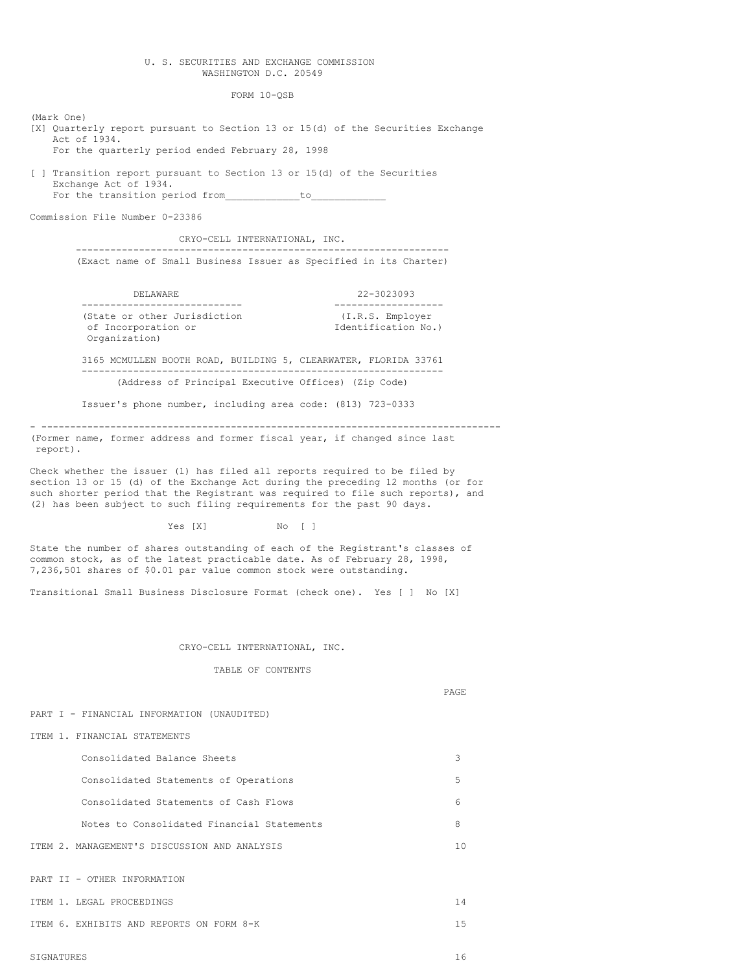## U. S. SECURITIES AND EXCHANGE COMMISSION WASHINGTON D.C. 20549

FORM 10-QSB

(Mark One) [X] Quarterly report pursuant to Section 13 or 15(d) of the Securities Exchange Act of 1934. For the quarterly period ended February 28, 1998

[ ] Transition report pursuant to Section 13 or 15(d) of the Securities Exchange Act of 1934. For the transition period from\_\_\_\_\_\_\_\_\_\_\_\_\_to\_\_\_\_\_\_\_\_\_\_\_\_\_

Commission File Number 0-23386

CRYO-CELL INTERNATIONAL, INC. ----------------------------------------------------------------- (Exact name of Small Business Issuer as Specified in its Charter)

| DELAWARE                                                             |  |  |  |  | 22-3023093                                                      |  |  |  |
|----------------------------------------------------------------------|--|--|--|--|-----------------------------------------------------------------|--|--|--|
| (State or other Jurisdiction<br>of Incorporation or<br>Organization) |  |  |  |  | (I.R.S. Employer<br>Identification No.)                         |  |  |  |
|                                                                      |  |  |  |  | 3165 MCMULLEN BOOTH ROAD, BUILDING 5, CLEARWATER, FLORIDA 33761 |  |  |  |

--------------------------------------------------------------- (Address of Principal Executive Offices) (Zip Code)

Issuer's phone number, including area code: (813) 723-0333

- -------------------------------------------------------------------------------- (Former name, former address and former fiscal year, if changed since last report).

Check whether the issuer (1) has filed all reports required to be filed by section 13 or 15 (d) of the Exchange Act during the preceding 12 months (or for such shorter period that the Registrant was required to file such reports), and (2) has been subject to such filing requirements for the past 90 days.

Yes [X] No [ ]

State the number of shares outstanding of each of the Registrant's classes of common stock, as of the latest practicable date. As of February 28, 1998, 7,236,501 shares of \$0.01 par value common stock were outstanding.

Transitional Small Business Disclosure Format (check one). Yes [ ] No [X]

### CRYO-CELL INTERNATIONAL, INC.

TABLE OF CONTENTS

PAGE

#### PART I - FINANCIAL INFORMATION (UNAUDITED)

ITEM 1. FINANCIAL STATEMENTS

Consolidated Balance Sheets 3 Consolidated Statements of Operations 5 Consolidated Statements of Cash Flows 6 Notes to Consolidated Financial Statements 8 ITEM 2. MANAGEMENT'S DISCUSSION AND ANALYSIS 10

PART II - OTHER INFORMATION

ITEM 1. LEGAL PROCEEDINGS 14

ITEM 6. EXHIBITS AND REPORTS ON FORM 8-K 15

SIGNATURES 16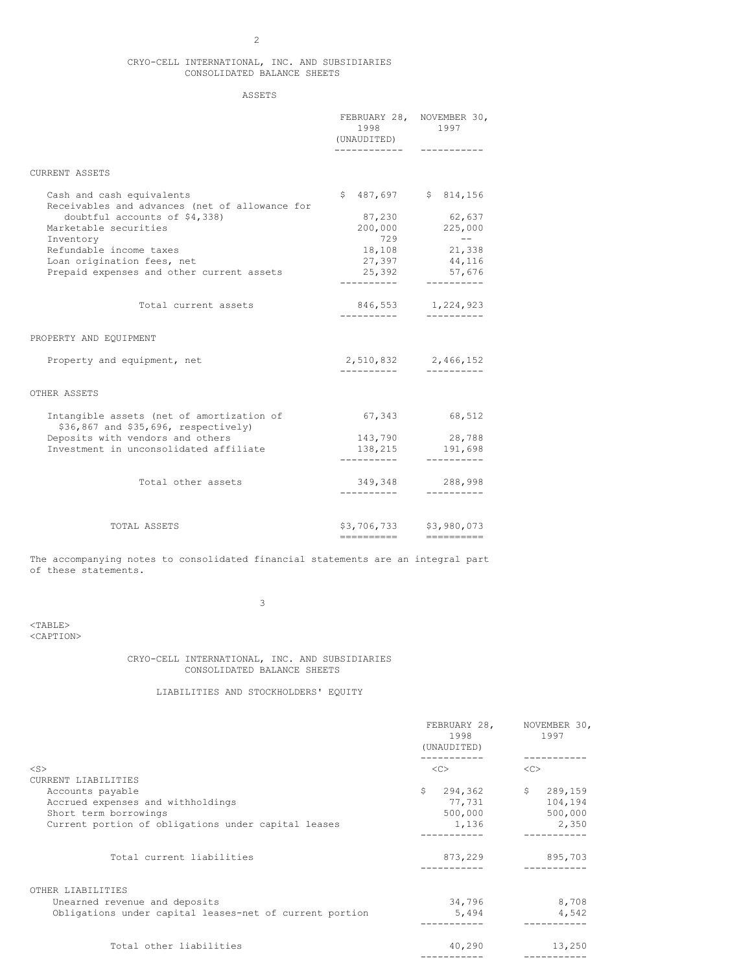# 2

# CRYO-CELL INTERNATIONAL, INC. AND SUBSIDIARIES CONSOLIDATED BALANCE SHEETS

# ASSETS

|                                                                                   | 1998<br>(UNAUDITED)    | FEBRUARY 28, NOVEMBER 30,<br>1997 |
|-----------------------------------------------------------------------------------|------------------------|-----------------------------------|
| CURRENT ASSETS                                                                    |                        |                                   |
| Cash and cash equivalents<br>Receivables and advances (net of allowance for       | \$                     | 487,697 \$ 814,156                |
| doubtful accounts of \$4,338)                                                     | 87,230                 | 62,637                            |
| Marketable securities                                                             |                        | 200,000 225,000                   |
| Inventory                                                                         | 729                    | $\sim$ $  -$                      |
| Refundable income taxes                                                           |                        | 18,108 21,338                     |
| Loan origination fees, net                                                        |                        | 27,397 44,116                     |
| Prepaid expenses and other current assets                                         | 25,392                 | 57,676                            |
|                                                                                   |                        |                                   |
| Total current assets                                                              | -----------            | 846,553 1,224,923<br>-----------  |
| PROPERTY AND EQUIPMENT                                                            |                        |                                   |
| Property and equipment, net                                                       |                        | 2,510,832 2,466,152               |
|                                                                                   | __________             |                                   |
| OTHER ASSETS                                                                      |                        |                                   |
| Intangible assets (net of amortization of<br>\$36,867 and \$35,696, respectively) | 67,343                 | 68,512                            |
| Deposits with vendors and others                                                  | 143,790                | 28,788                            |
| Investment in unconsolidated affiliate                                            | 138,215<br>----------- | 191,698<br>----------             |
|                                                                                   |                        |                                   |
| Total other assets                                                                |                        | 349,348 288,998<br>----------     |
|                                                                                   |                        |                                   |
| TOTAL ASSETS                                                                      | \$3,706,733            | \$3,980,073                       |
|                                                                                   | ----------             | <b>HEEBERHEE</b>                  |

The accompanying notes to consolidated financial statements are an integral part of these statements.

3

<TABLE> <CAPTION>

> CRYO-CELL INTERNATIONAL, INC. AND SUBSIDIARIES CONSOLIDATED BALANCE SHEETS

> > LIABILITIES AND STOCKHOLDERS' EQUITY

|                                                         | 1998<br>(UNAUDITED)<br><< |              | FEBRUARY 28, NOVEMBER 30,<br>1997<br><< |         |
|---------------------------------------------------------|---------------------------|--------------|-----------------------------------------|---------|
| $<$ S $>$                                               |                           |              |                                         |         |
| CURRENT LIABILITIES                                     |                           |              |                                         |         |
| Accounts payable                                        | \$                        | $294,362$ \$ |                                         | 289,159 |
| Accrued expenses and withholdings                       |                           | 77,731       |                                         | 104,194 |
| Short term borrowings                                   |                           | 500,000      |                                         | 500,000 |
| Current portion of obligations under capital leases     |                           | 1,136        |                                         | 2,350   |
|                                                         |                           |              |                                         |         |
| Total current liabilities                               |                           | 873,229      |                                         | 895,703 |
| OTHER LIABILITIES                                       |                           |              |                                         |         |
| Unearned revenue and deposits                           |                           | 34,796       |                                         | 8,708   |
| Obligations under capital leases-net of current portion |                           | 5,494        |                                         | 4,542   |
|                                                         |                           |              |                                         |         |
| Total other liabilities                                 |                           | 40,290       |                                         | 13,250  |
|                                                         |                           |              |                                         |         |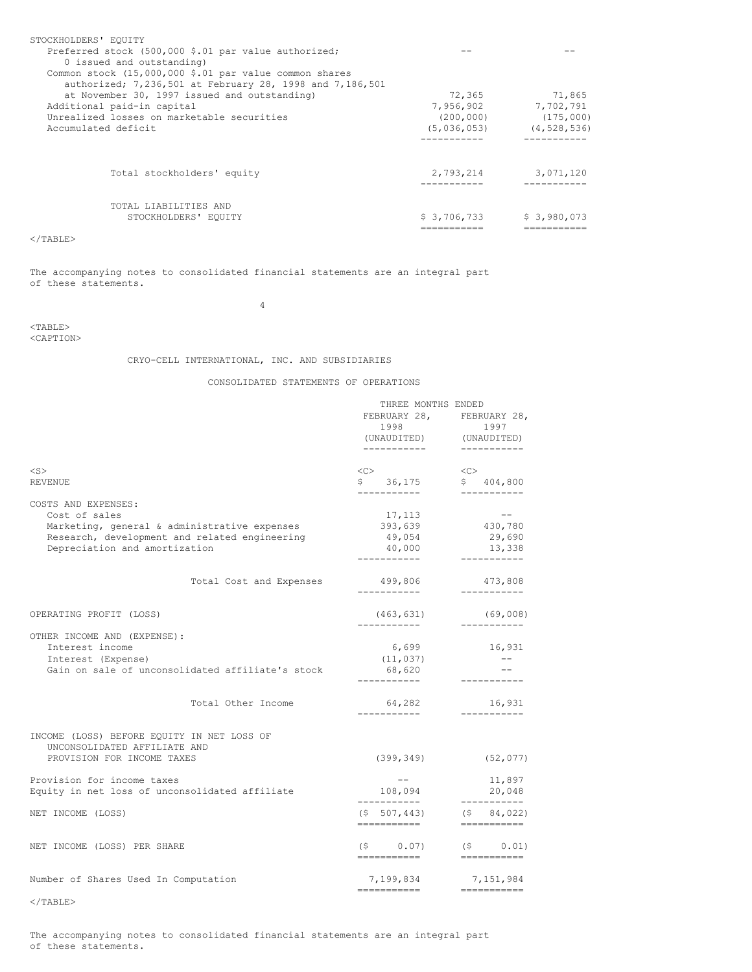| STOCKHOLDERS' EQUITY                                     |             |               |
|----------------------------------------------------------|-------------|---------------|
| Preferred stock (500,000 \$.01 par value authorized;     |             |               |
| 0 issued and outstanding)                                |             |               |
| Common stock (15,000,000 \$.01 par value common shares   |             |               |
| authorized; 7,236,501 at February 28, 1998 and 7,186,501 |             |               |
| at November 30, 1997 issued and outstanding)             | 72,365      | 71,865        |
| Additional paid-in capital                               | 7,956,902   | 7,702,791     |
| Unrealized losses on marketable securities               | (200, 000)  | (175,000)     |
| Accumulated deficit                                      | (5,036,053) | (4, 528, 536) |
|                                                          |             |               |
| Total stockholders' equity                               | 2,793,214   | 3,071,120     |
| TOTAL LIABILITIES AND                                    |             |               |
| STOCKHOLDERS' EQUITY                                     | \$3,706,733 | \$3,980,073   |
|                                                          |             |               |

# $\rm <$  /TABLE>

The accompanying notes to consolidated financial statements are an integral part of these statements.

4

## <TABLE> <CAPTION>

# CRYO-CELL INTERNATIONAL, INC. AND SUBSIDIARIES

CONSOLIDATED STATEMENTS OF OPERATIONS

|                                                                            | THREE MONTHS ENDED       |                                                                                                                                                                                                                                                                                                                                                                                                                                                                                                                                                                                                                                                                                                                                                       |  |
|----------------------------------------------------------------------------|--------------------------|-------------------------------------------------------------------------------------------------------------------------------------------------------------------------------------------------------------------------------------------------------------------------------------------------------------------------------------------------------------------------------------------------------------------------------------------------------------------------------------------------------------------------------------------------------------------------------------------------------------------------------------------------------------------------------------------------------------------------------------------------------|--|
|                                                                            |                          | FEBRUARY 28, FEBRUARY 28,                                                                                                                                                                                                                                                                                                                                                                                                                                                                                                                                                                                                                                                                                                                             |  |
|                                                                            | 1998                     | 1997                                                                                                                                                                                                                                                                                                                                                                                                                                                                                                                                                                                                                                                                                                                                                  |  |
|                                                                            |                          | (UNAUDITED) (UNAUDITED)                                                                                                                                                                                                                                                                                                                                                                                                                                                                                                                                                                                                                                                                                                                               |  |
|                                                                            | ___________              | -----------                                                                                                                                                                                                                                                                                                                                                                                                                                                                                                                                                                                                                                                                                                                                           |  |
| $<$ S $>$                                                                  | CC                       | $\langle$ C>                                                                                                                                                                                                                                                                                                                                                                                                                                                                                                                                                                                                                                                                                                                                          |  |
| <b>REVENUE</b>                                                             | $$36,175$ $$404,800$     |                                                                                                                                                                                                                                                                                                                                                                                                                                                                                                                                                                                                                                                                                                                                                       |  |
| COSTS AND EXPENSES:                                                        | ------------             | ------------                                                                                                                                                                                                                                                                                                                                                                                                                                                                                                                                                                                                                                                                                                                                          |  |
| Cost of sales                                                              | 17,113                   | $--$                                                                                                                                                                                                                                                                                                                                                                                                                                                                                                                                                                                                                                                                                                                                                  |  |
| Marketing, general & administrative expenses                               | 393,639                  | 430,780                                                                                                                                                                                                                                                                                                                                                                                                                                                                                                                                                                                                                                                                                                                                               |  |
| Research, development and related engineering                              | 49,054                   | 29,690                                                                                                                                                                                                                                                                                                                                                                                                                                                                                                                                                                                                                                                                                                                                                |  |
| Depreciation and amortization                                              | 40,000                   | 13,338                                                                                                                                                                                                                                                                                                                                                                                                                                                                                                                                                                                                                                                                                                                                                |  |
|                                                                            | ------------             | ___________                                                                                                                                                                                                                                                                                                                                                                                                                                                                                                                                                                                                                                                                                                                                           |  |
| Total Cost and Expenses                                                    | 499,806                  | 473,808                                                                                                                                                                                                                                                                                                                                                                                                                                                                                                                                                                                                                                                                                                                                               |  |
|                                                                            | ------------             | ------------                                                                                                                                                                                                                                                                                                                                                                                                                                                                                                                                                                                                                                                                                                                                          |  |
| OPERATING PROFIT (LOSS)                                                    | (463, 631)               | (69,008)                                                                                                                                                                                                                                                                                                                                                                                                                                                                                                                                                                                                                                                                                                                                              |  |
| OTHER INCOME AND (EXPENSE):                                                |                          | ___________                                                                                                                                                                                                                                                                                                                                                                                                                                                                                                                                                                                                                                                                                                                                           |  |
| Interest income                                                            | 6,699                    | 16,931                                                                                                                                                                                                                                                                                                                                                                                                                                                                                                                                                                                                                                                                                                                                                |  |
| Interest (Expense)                                                         | (11, 037)                | $- - -$                                                                                                                                                                                                                                                                                                                                                                                                                                                                                                                                                                                                                                                                                                                                               |  |
| Gain on sale of unconsolidated affiliate's stock                           | 68,620                   |                                                                                                                                                                                                                                                                                                                                                                                                                                                                                                                                                                                                                                                                                                                                                       |  |
|                                                                            | ------------             |                                                                                                                                                                                                                                                                                                                                                                                                                                                                                                                                                                                                                                                                                                                                                       |  |
| Total Other Income                                                         | 64,282<br>------------   | 16,931<br>-----------                                                                                                                                                                                                                                                                                                                                                                                                                                                                                                                                                                                                                                                                                                                                 |  |
|                                                                            |                          |                                                                                                                                                                                                                                                                                                                                                                                                                                                                                                                                                                                                                                                                                                                                                       |  |
| INCOME (LOSS) BEFORE EQUITY IN NET LOSS OF<br>UNCONSOLIDATED AFFILIATE AND |                          |                                                                                                                                                                                                                                                                                                                                                                                                                                                                                                                                                                                                                                                                                                                                                       |  |
| PROVISION FOR INCOME TAXES                                                 | (399, 349)               | (52, 077)                                                                                                                                                                                                                                                                                                                                                                                                                                                                                                                                                                                                                                                                                                                                             |  |
| Provision for income taxes                                                 | $- -$                    | 11,897                                                                                                                                                                                                                                                                                                                                                                                                                                                                                                                                                                                                                                                                                                                                                |  |
| Equity in net loss of unconsolidated affiliate                             | 108,094                  | 20,048                                                                                                                                                                                                                                                                                                                                                                                                                                                                                                                                                                                                                                                                                                                                                |  |
|                                                                            | ------------             | ___________                                                                                                                                                                                                                                                                                                                                                                                                                                                                                                                                                                                                                                                                                                                                           |  |
| NET INCOME (LOSS)                                                          | (5 507, 443)             | (5 84, 022)                                                                                                                                                                                                                                                                                                                                                                                                                                                                                                                                                                                                                                                                                                                                           |  |
|                                                                            | ===========              | $\begin{array}{cccccccccc} \multicolumn{2}{c}{} & \multicolumn{2}{c}{} & \multicolumn{2}{c}{} & \multicolumn{2}{c}{} & \multicolumn{2}{c}{} & \multicolumn{2}{c}{} & \multicolumn{2}{c}{} & \multicolumn{2}{c}{} & \multicolumn{2}{c}{} & \multicolumn{2}{c}{} & \multicolumn{2}{c}{} & \multicolumn{2}{c}{} & \multicolumn{2}{c}{} & \multicolumn{2}{c}{} & \multicolumn{2}{c}{} & \multicolumn{2}{c}{} & \multicolumn{2}{c}{} & \multicolumn{2}{c}{} & \multicolumn{2}{c}{} & \mult$                                                                                                                                                                                                                                                                |  |
| NET INCOME (LOSS) PER SHARE                                                | ===========              | $(5 \t 0.07)$ $(5 \t 0.01)$<br>eeeeeeeee                                                                                                                                                                                                                                                                                                                                                                                                                                                                                                                                                                                                                                                                                                              |  |
|                                                                            |                          |                                                                                                                                                                                                                                                                                                                                                                                                                                                                                                                                                                                                                                                                                                                                                       |  |
| Number of Shares Used In Computation                                       | 7,199,834<br>=========== | 7,151,984<br>$\qquad \qquad \Rightarrow \qquad \qquad \Rightarrow \qquad \qquad \Rightarrow \qquad \qquad \Rightarrow \qquad \qquad \Rightarrow \qquad \qquad \Rightarrow \qquad \qquad \Rightarrow \qquad \qquad \Rightarrow \qquad \qquad \Rightarrow \qquad \qquad \Rightarrow \qquad \qquad \Rightarrow \qquad \qquad \Rightarrow \qquad \qquad \Rightarrow \qquad \qquad \Rightarrow \qquad \qquad \Rightarrow \qquad \qquad \Rightarrow \qquad \qquad \Rightarrow \qquad \qquad \Rightarrow \qquad \qquad \Rightarrow \qquad \qquad \Rightarrow \qquad \qquad \Rightarrow \qquad \qquad \Rightarrow \qquad \qquad \Rightarrow \qquad \qquad \Rightarrow \qquad \qquad \Rightarrow \qquad \qquad \Rightarrow \qquad \qquad \Rightarrow \qquad \$ |  |

</TABLE>

The accompanying notes to consolidated financial statements are an integral part of these statements.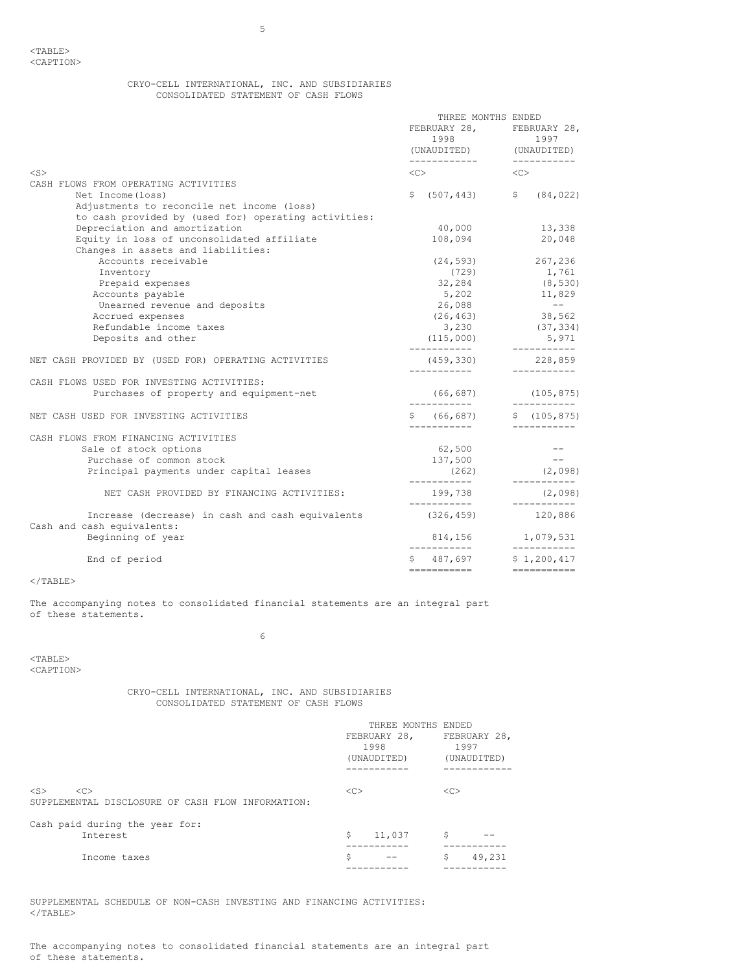# CRYO-CELL INTERNATIONAL, INC. AND SUBSIDIARIES CONSOLIDATED STATEMENT OF CASH FLOWS

|                                                                                | THREE MONTHS ENDED<br>FEBRUARY 28, FEBRUARY 28,<br>(UNAUDITED) (UNAUDITED)<br>------------               ---------- |           | 1997                    |  |
|--------------------------------------------------------------------------------|---------------------------------------------------------------------------------------------------------------------|-----------|-------------------------|--|
| $<$ S $>$                                                                      | $\langle$ C $>$ $\rangle$                                                                                           | < <c></c> |                         |  |
| CASH FLOWS FROM OPERATING ACTIVITIES                                           |                                                                                                                     |           |                         |  |
| Net Income (loss)                                                              | \$<br>$(507, 443)$ \$ $(84, 022)$                                                                                   |           |                         |  |
| Adjustments to reconcile net income (loss)                                     |                                                                                                                     |           |                         |  |
| to cash provided by (used for) operating activities:                           |                                                                                                                     |           |                         |  |
| Depreciation and amortization                                                  | 40,000                                                                                                              |           | 13,338                  |  |
| Equity in loss of unconsolidated affiliate                                     | 108,094                                                                                                             |           | 20,048                  |  |
| Changes in assets and liabilities:                                             |                                                                                                                     |           |                         |  |
| Accounts receivable                                                            | $(24, 593)$ 267, 236                                                                                                |           |                         |  |
| Inventory                                                                      | (729)                                                                                                               |           | 1,761                   |  |
| Prepaid expenses                                                               | 32,284                                                                                                              |           | (8, 530)                |  |
| Accounts payable                                                               | 5,202 11,829                                                                                                        |           |                         |  |
| Unearned revenue and deposits                                                  | 26,088                                                                                                              |           | $\sim$ $ -$             |  |
| Accrued expenses                                                               | (26, 463)                                                                                                           |           | 38,562                  |  |
| Refundable income taxes                                                        | 3,230                                                                                                               |           | (37, 334)               |  |
| Deposits and other                                                             | (115,000)                                                                                                           |           | 5,971<br>------------   |  |
| NET CASH PROVIDED BY (USED FOR) OPERATING ACTIVITIES                           | $(459, 330)$ 228,859                                                                                                |           |                         |  |
| CASH FLOWS USED FOR INVESTING ACTIVITIES:                                      |                                                                                                                     |           |                         |  |
| Purchases of property and equipment-net                                        | $(66, 687)$ $(105, 875)$                                                                                            |           |                         |  |
| NET CASH USED FOR INVESTING ACTIVITIES                                         | $$ (66, 687)$ $$ (105, 875)$                                                                                        |           |                         |  |
| CASH FLOWS FROM FINANCING ACTIVITIES                                           |                                                                                                                     |           |                         |  |
| Sale of stock options                                                          | 62,500                                                                                                              |           |                         |  |
| Purchase of common stock                                                       | 137,500                                                                                                             |           | $- -$                   |  |
| Principal payments under capital leases                                        | (262)                                                                                                               |           | (2,098)                 |  |
| NET CASH PROVIDED BY FINANCING ACTIVITIES:                                     | ------------<br>199,738                                                                                             |           | ____________<br>(2,098) |  |
|                                                                                |                                                                                                                     |           |                         |  |
| Increase (decrease) in cash and cash equivalents<br>Cash and cash equivalents: | (326, 459)                                                                                                          |           | 120,886                 |  |
| Beginning of year                                                              | 814,156 1,079,531<br>------------                                                                                   |           | ___________             |  |
| End of period                                                                  | $$487,697$ $$1,200,417$                                                                                             |           |                         |  |
|                                                                                | ===========                                                                                                         |           | ------------            |  |

 $<$ /TABLE>

The accompanying notes to consolidated financial statements are an integral part of these statements.

6

<TABLE> <CAPTION>

# CRYO-CELL INTERNATIONAL, INC. AND SUBSIDIARIES CONSOLIDATED STATEMENT OF CASH FLOWS

|                                                                                  | THREE MONTHS ENDED |              |  |  |
|----------------------------------------------------------------------------------|--------------------|--------------|--|--|
|                                                                                  | FEBRUARY 28,       | FEBRUARY 28, |  |  |
|                                                                                  | 1998               | 1997         |  |  |
|                                                                                  | (UNAUDITED)        | (UNAUDITED)  |  |  |
|                                                                                  |                    |              |  |  |
| $<$ S $>$<br>< <sub><br/>SUPPLEMENTAL DISCLOSURE OF CASH FLOW INFORMATION:</sub> | < <sub></sub>      | <<           |  |  |
| Cash paid during the year for:                                                   |                    |              |  |  |
| Interest                                                                         | S<br>11,037        | \$           |  |  |
|                                                                                  |                    |              |  |  |
| Income taxes                                                                     | \$                 | \$<br>49,231 |  |  |
|                                                                                  |                    |              |  |  |

SUPPLEMENTAL SCHEDULE OF NON-CASH INVESTING AND FINANCING ACTIVITIES:  $<$ /TABLE>

The accompanying notes to consolidated financial statements are an integral part of these statements.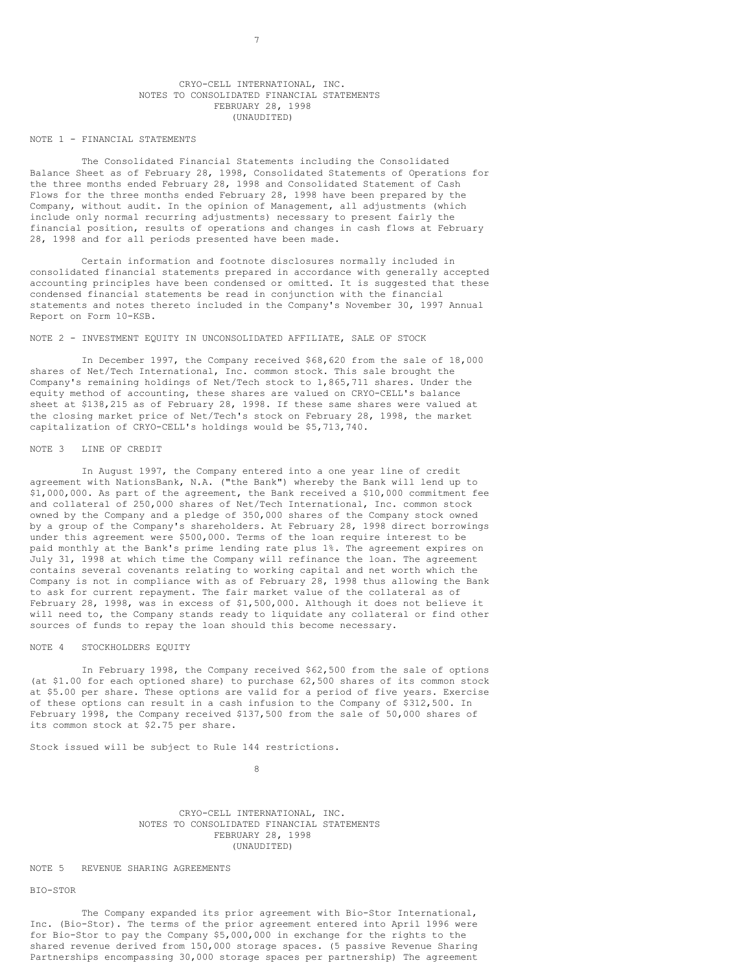#### CRYO-CELL INTERNATIONAL, INC. NOTES TO CONSOLIDATED FINANCIAL STATEMENTS FEBRUARY 28, 1998 (UNAUDITED)

7

#### NOTE 1 - FINANCIAL STATEMENTS

The Consolidated Financial Statements including the Consolidated Balance Sheet as of February 28, 1998, Consolidated Statements of Operations for the three months ended February 28, 1998 and Consolidated Statement of Cash Flows for the three months ended February 28, 1998 have been prepared by the Company, without audit. In the opinion of Management, all adjustments (which include only normal recurring adjustments) necessary to present fairly the financial position, results of operations and changes in cash flows at February 28, 1998 and for all periods presented have been made.

Certain information and footnote disclosures normally included in consolidated financial statements prepared in accordance with generally accepted accounting principles have been condensed or omitted. It is suggested that these condensed financial statements be read in conjunction with the financial statements and notes thereto included in the Company's November 30, 1997 Annual Report on Form 10-KSB.

### NOTE 2 - INVESTMENT EQUITY IN UNCONSOLIDATED AFFILIATE, SALE OF STOCK

In December 1997, the Company received \$68,620 from the sale of 18,000 shares of Net/Tech International, Inc. common stock. This sale brought the Company's remaining holdings of Net/Tech stock to 1,865,711 shares. Under the equity method of accounting, these shares are valued on CRYO-CELL's balance sheet at \$138,215 as of February 28, 1998. If these same shares were valued at the closing market price of Net/Tech's stock on February 28, 1998, the market capitalization of CRYO-CELL's holdings would be \$5,713,740.

## NOTE 3 LINE OF CREDIT

In August 1997, the Company entered into a one year line of credit agreement with NationsBank, N.A. ("the Bank") whereby the Bank will lend up to \$1,000,000. As part of the agreement, the Bank received a \$10,000 commitment fee and collateral of 250,000 shares of Net/Tech International, Inc. common stock owned by the Company and a pledge of 350,000 shares of the Company stock owned by a group of the Company's shareholders. At February 28, 1998 direct borrowings under this agreement were \$500,000. Terms of the loan require interest to be paid monthly at the Bank's prime lending rate plus 1%. The agreement expires on July 31, 1998 at which time the Company will refinance the loan. The agreement contains several covenants relating to working capital and net worth which the Company is not in compliance with as of February 28, 1998 thus allowing the Bank to ask for current repayment. The fair market value of the collateral as of February 28, 1998, was in excess of \$1,500,000. Although it does not believe it will need to, the Company stands ready to liquidate any collateral or find other sources of funds to repay the loan should this become necessary.

### NOTE 4 STOCKHOLDERS EQUITY

In February 1998, the Company received \$62,500 from the sale of options (at \$1.00 for each optioned share) to purchase 62,500 shares of its common stock at \$5.00 per share. These options are valid for a period of five years. Exercise of these options can result in a cash infusion to the Company of \$312,500. In February 1998, the Company received \$137,500 from the sale of 50,000 shares of its common stock at \$2.75 per share.

Stock issued will be subject to Rule 144 restrictions.

8

CRYO-CELL INTERNATIONAL, INC. NOTES TO CONSOLIDATED FINANCIAL STATEMENTS FEBRUARY 28, 1998 (UNAUDITED)

### NOTE 5 REVENUE SHARING AGREEMENTS

#### BIO-STOR

The Company expanded its prior agreement with Bio-Stor International, Inc. (Bio-Stor). The terms of the prior agreement entered into April 1996 were for Bio-Stor to pay the Company \$5,000,000 in exchange for the rights to the shared revenue derived from 150,000 storage spaces. (5 passive Revenue Sharing Partnerships encompassing 30,000 storage spaces per partnership) The agreement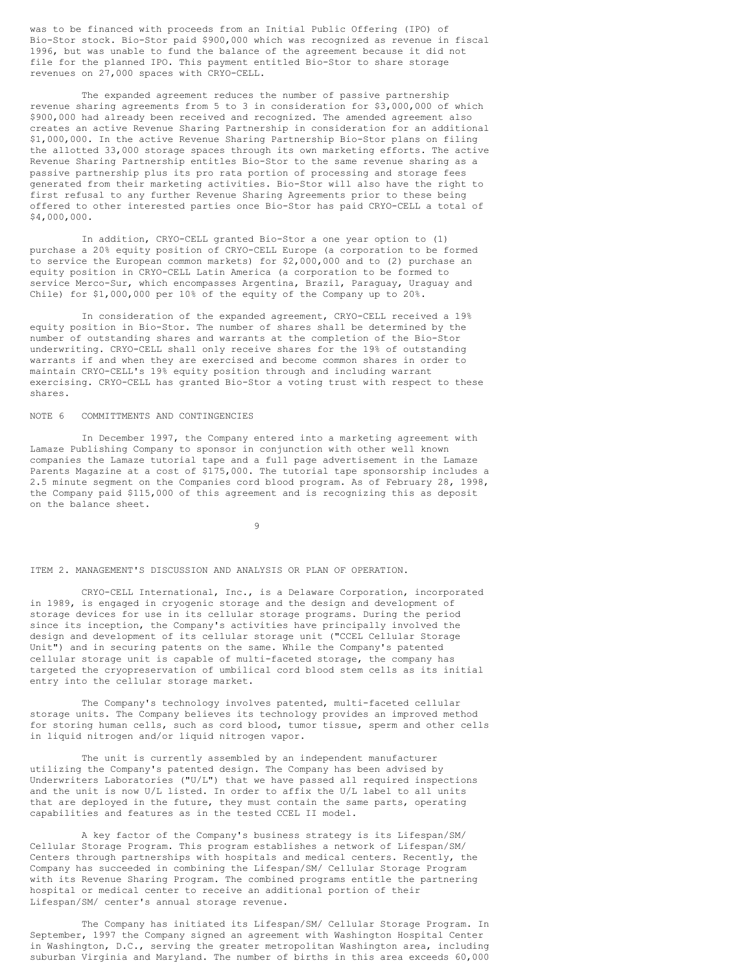was to be financed with proceeds from an Initial Public Offering (IPO) of Bio-Stor stock. Bio-Stor paid \$900,000 which was recognized as revenue in fiscal 1996, but was unable to fund the balance of the agreement because it did not file for the planned IPO. This payment entitled Bio-Stor to share storage revenues on 27,000 spaces with CRYO-CELL.

The expanded agreement reduces the number of passive partnership revenue sharing agreements from 5 to 3 in consideration for \$3,000,000 of which \$900,000 had already been received and recognized. The amended agreement also creates an active Revenue Sharing Partnership in consideration for an additional \$1,000,000. In the active Revenue Sharing Partnership Bio-Stor plans on filing the allotted 33,000 storage spaces through its own marketing efforts. The active Revenue Sharing Partnership entitles Bio-Stor to the same revenue sharing as a passive partnership plus its pro rata portion of processing and storage fees generated from their marketing activities. Bio-Stor will also have the right to first refusal to any further Revenue Sharing Agreements prior to these being offered to other interested parties once Bio-Stor has paid CRYO-CELL a total of \$4,000,000.

In addition, CRYO-CELL granted Bio-Stor a one year option to (1) purchase a 20% equity position of CRYO-CELL Europe (a corporation to be formed to service the European common markets) for \$2,000,000 and to (2) purchase an equity position in CRYO-CELL Latin America (a corporation to be formed to service Merco-Sur, which encompasses Argentina, Brazil, Paraguay, Uraguay and Chile) for \$1,000,000 per 10% of the equity of the Company up to 20%.

In consideration of the expanded agreement, CRYO-CELL received a 19% equity position in Bio-Stor. The number of shares shall be determined by the number of outstanding shares and warrants at the completion of the Bio-Stor underwriting. CRYO-CELL shall only receive shares for the 19% of outstanding warrants if and when they are exercised and become common shares in order to maintain CRYO-CELL's 19% equity position through and including warrant exercising. CRYO-CELL has granted Bio-Stor a voting trust with respect to these shares.

#### NOTE 6 COMMITTMENTS AND CONTINGENCIES

In December 1997, the Company entered into a marketing agreement with Lamaze Publishing Company to sponsor in conjunction with other well known companies the Lamaze tutorial tape and a full page advertisement in the Lamaze Parents Magazine at a cost of \$175,000. The tutorial tape sponsorship includes a 2.5 minute segment on the Companies cord blood program. As of February 28, 1998, the Company paid \$115,000 of this agreement and is recognizing this as deposit on the balance sheet.

9

#### ITEM 2. MANAGEMENT'S DISCUSSION AND ANALYSIS OR PLAN OF OPERATION.

CRYO-CELL International, Inc., is a Delaware Corporation, incorporated in 1989, is engaged in cryogenic storage and the design and development of storage devices for use in its cellular storage programs. During the period since its inception, the Company's activities have principally involved the design and development of its cellular storage unit ("CCEL Cellular Storage Unit") and in securing patents on the same. While the Company's patented cellular storage unit is capable of multi-faceted storage, the company has targeted the cryopreservation of umbilical cord blood stem cells as its initial entry into the cellular storage market.

The Company's technology involves patented, multi-faceted cellular storage units. The Company believes its technology provides an improved method for storing human cells, such as cord blood, tumor tissue, sperm and other cells in liquid nitrogen and/or liquid nitrogen vapor.

The unit is currently assembled by an independent manufacturer utilizing the Company's patented design. The Company has been advised by Underwriters Laboratories ("U/L") that we have passed all required inspections and the unit is now U/L listed. In order to affix the U/L label to all units that are deployed in the future, they must contain the same parts, operating capabilities and features as in the tested CCEL II model.

A key factor of the Company's business strategy is its Lifespan/SM/ Cellular Storage Program. This program establishes a network of Lifespan/SM/ Centers through partnerships with hospitals and medical centers. Recently, the Company has succeeded in combining the Lifespan/SM/ Cellular Storage Program with its Revenue Sharing Program. The combined programs entitle the partnering hospital or medical center to receive an additional portion of their Lifespan/SM/ center's annual storage revenue.

The Company has initiated its Lifespan/SM/ Cellular Storage Program. In September, 1997 the Company signed an agreement with Washington Hospital Center in Washington, D.C., serving the greater metropolitan Washington area, including suburban Virginia and Maryland. The number of births in this area exceeds 60,000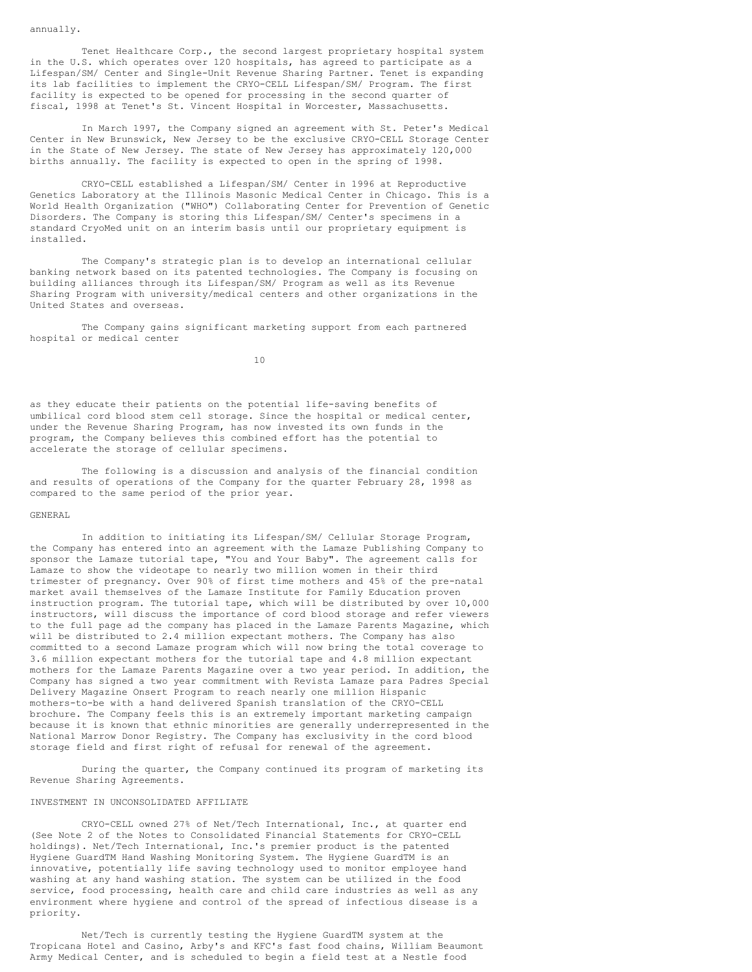annually.

Tenet Healthcare Corp., the second largest proprietary hospital system in the U.S. which operates over 120 hospitals, has agreed to participate as a Lifespan/SM/ Center and Single-Unit Revenue Sharing Partner. Tenet is expanding its lab facilities to implement the CRYO-CELL Lifespan/SM/ Program. The first facility is expected to be opened for processing in the second quarter of fiscal, 1998 at Tenet's St. Vincent Hospital in Worcester, Massachusetts.

In March 1997, the Company signed an agreement with St. Peter's Medical Center in New Brunswick, New Jersey to be the exclusive CRYO-CELL Storage Center in the State of New Jersey. The state of New Jersey has approximately 120,000 births annually. The facility is expected to open in the spring of 1998.

CRYO-CELL established a Lifespan/SM/ Center in 1996 at Reproductive Genetics Laboratory at the Illinois Masonic Medical Center in Chicago. This is a World Health Organization ("WHO") Collaborating Center for Prevention of Genetic Disorders. The Company is storing this Lifespan/SM/ Center's specimens in a standard CryoMed unit on an interim basis until our proprietary equipment is installed.

The Company's strategic plan is to develop an international cellular banking network based on its patented technologies. The Company is focusing on building alliances through its Lifespan/SM/ Program as well as its Revenue Sharing Program with university/medical centers and other organizations in the United States and overseas.

The Company gains significant marketing support from each partnered hospital or medical center

10

as they educate their patients on the potential life-saving benefits of umbilical cord blood stem cell storage. Since the hospital or medical center, under the Revenue Sharing Program, has now invested its own funds in the program, the Company believes this combined effort has the potential to accelerate the storage of cellular specimens.

The following is a discussion and analysis of the financial condition and results of operations of the Company for the quarter February 28, 1998 as compared to the same period of the prior year.

#### GENERAL

In addition to initiating its Lifespan/SM/ Cellular Storage Program, the Company has entered into an agreement with the Lamaze Publishing Company to sponsor the Lamaze tutorial tape, "You and Your Baby". The agreement calls for Lamaze to show the videotape to nearly two million women in their third trimester of pregnancy. Over 90% of first time mothers and 45% of the pre-natal market avail themselves of the Lamaze Institute for Family Education proven instruction program. The tutorial tape, which will be distributed by over 10,000 instructors, will discuss the importance of cord blood storage and refer viewers to the full page ad the company has placed in the Lamaze Parents Magazine, which will be distributed to 2.4 million expectant mothers. The Company has also committed to a second Lamaze program which will now bring the total coverage to 3.6 million expectant mothers for the tutorial tape and 4.8 million expectant mothers for the Lamaze Parents Magazine over a two year period. In addition, the Company has signed a two year commitment with Revista Lamaze para Padres Special Delivery Magazine Onsert Program to reach nearly one million Hispanic mothers-to-be with a hand delivered Spanish translation of the CRYO-CELL brochure. The Company feels this is an extremely important marketing campaign because it is known that ethnic minorities are generally underrepresented in the National Marrow Donor Registry. The Company has exclusivity in the cord blood storage field and first right of refusal for renewal of the agreement.

During the quarter, the Company continued its program of marketing its Revenue Sharing Agreements.

### INVESTMENT IN UNCONSOLIDATED AFFILIATE

CRYO-CELL owned 27% of Net/Tech International, Inc., at quarter end (See Note 2 of the Notes to Consolidated Financial Statements for CRYO-CELL holdings). Net/Tech International, Inc.'s premier product is the patented Hygiene GuardTM Hand Washing Monitoring System. The Hygiene GuardTM is an innovative, potentially life saving technology used to monitor employee hand washing at any hand washing station. The system can be utilized in the food service, food processing, health care and child care industries as well as any environment where hygiene and control of the spread of infectious disease is a priority.

Net/Tech is currently testing the Hygiene GuardTM system at the Tropicana Hotel and Casino, Arby's and KFC's fast food chains, William Beaumont Army Medical Center, and is scheduled to begin a field test at a Nestle food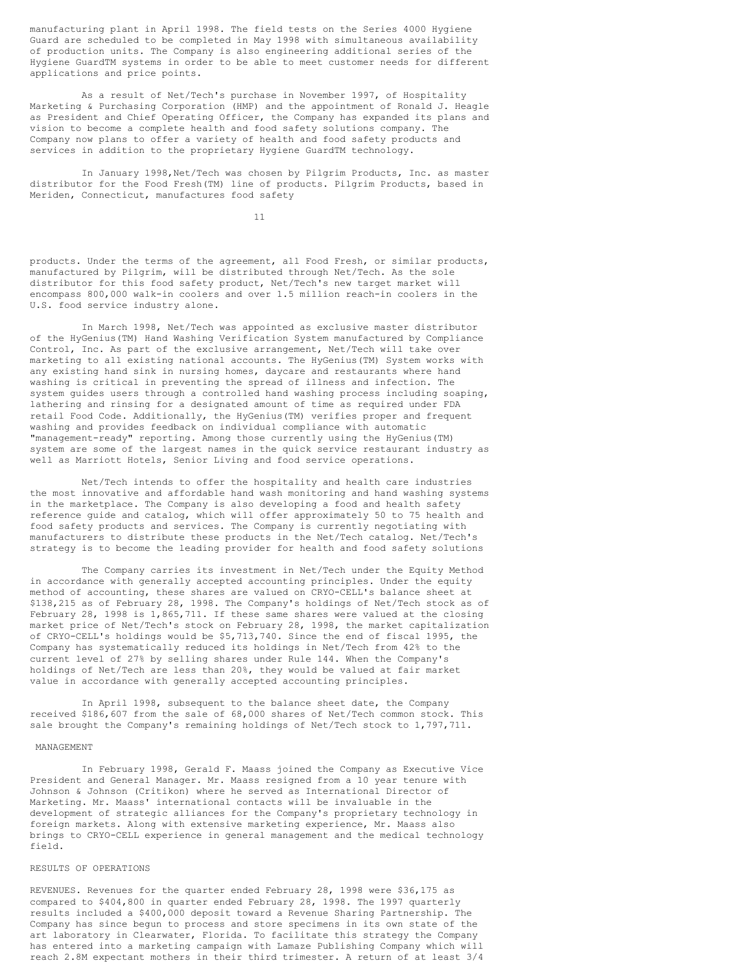manufacturing plant in April 1998. The field tests on the Series 4000 Hygiene Guard are scheduled to be completed in May 1998 with simultaneous availability of production units. The Company is also engineering additional series of the Hygiene GuardTM systems in order to be able to meet customer needs for different applications and price points.

As a result of Net/Tech's purchase in November 1997, of Hospitality Marketing & Purchasing Corporation (HMP) and the appointment of Ronald J. Heagle as President and Chief Operating Officer, the Company has expanded its plans and vision to become a complete health and food safety solutions company. The Company now plans to offer a variety of health and food safety products and services in addition to the proprietary Hygiene GuardTM technology.

In January 1998, Net/Tech was chosen by Pilgrim Products, Inc. as master distributor for the Food Fresh(TM) line of products. Pilgrim Products, based in Meriden, Connecticut, manufactures food safety

11

products. Under the terms of the agreement, all Food Fresh, or similar products, manufactured by Pilgrim, will be distributed through Net/Tech. As the sole distributor for this food safety product, Net/Tech's new target market will encompass 800,000 walk-in coolers and over 1.5 million reach-in coolers in the U.S. food service industry alone.

In March 1998, Net/Tech was appointed as exclusive master distributor of the HyGenius(TM) Hand Washing Verification System manufactured by Compliance Control, Inc. As part of the exclusive arrangement, Net/Tech will take over marketing to all existing national accounts. The HyGenius(TM) System works with any existing hand sink in nursing homes, daycare and restaurants where hand washing is critical in preventing the spread of illness and infection. The system guides users through a controlled hand washing process including soaping, lathering and rinsing for a designated amount of time as required under FDA retail Food Code. Additionally, the HyGenius(TM) verifies proper and frequent washing and provides feedback on individual compliance with automatic "management-ready" reporting. Among those currently using the HyGenius(TM) system are some of the largest names in the quick service restaurant industry as well as Marriott Hotels, Senior Living and food service operations.

Net/Tech intends to offer the hospitality and health care industries the most innovative and affordable hand wash monitoring and hand washing systems in the marketplace. The Company is also developing a food and health safety reference guide and catalog, which will offer approximately 50 to 75 health and food safety products and services. The Company is currently negotiating with manufacturers to distribute these products in the Net/Tech catalog. Net/Tech's strategy is to become the leading provider for health and food safety solutions

The Company carries its investment in Net/Tech under the Equity Method in accordance with generally accepted accounting principles. Under the equity method of accounting, these shares are valued on CRYO-CELL's balance sheet at \$138,215 as of February 28, 1998. The Company's holdings of Net/Tech stock as of February 28, 1998 is 1,865,711. If these same shares were valued at the closing market price of Net/Tech's stock on February 28, 1998, the market capitalization of CRYO-CELL's holdings would be \$5,713,740. Since the end of fiscal 1995, the Company has systematically reduced its holdings in Net/Tech from 42% to the current level of 27% by selling shares under Rule 144. When the Company's holdings of Net/Tech are less than 20%, they would be valued at fair market value in accordance with generally accepted accounting principles.

In April 1998, subsequent to the balance sheet date, the Company received \$186,607 from the sale of 68,000 shares of Net/Tech common stock. This sale brought the Company's remaining holdings of Net/Tech stock to 1,797,711.

#### MANAGEMENT

In February 1998, Gerald F. Maass joined the Company as Executive Vice President and General Manager. Mr. Maass resigned from a 10 year tenure with Johnson & Johnson (Critikon) where he served as International Director of Marketing. Mr. Maass' international contacts will be invaluable in the development of strategic alliances for the Company's proprietary technology in foreign markets. Along with extensive marketing experience, Mr. Maass also brings to CRYO-CELL experience in general management and the medical technology field.

#### RESULTS OF OPERATIONS

REVENUES. Revenues for the quarter ended February 28, 1998 were \$36,175 as compared to \$404,800 in quarter ended February 28, 1998. The 1997 quarterly results included a \$400,000 deposit toward a Revenue Sharing Partnership. The Company has since begun to process and store specimens in its own state of the art laboratory in Clearwater, Florida. To facilitate this strategy the Company has entered into a marketing campaign with Lamaze Publishing Company which will reach 2.8M expectant mothers in their third trimester. A return of at least 3/4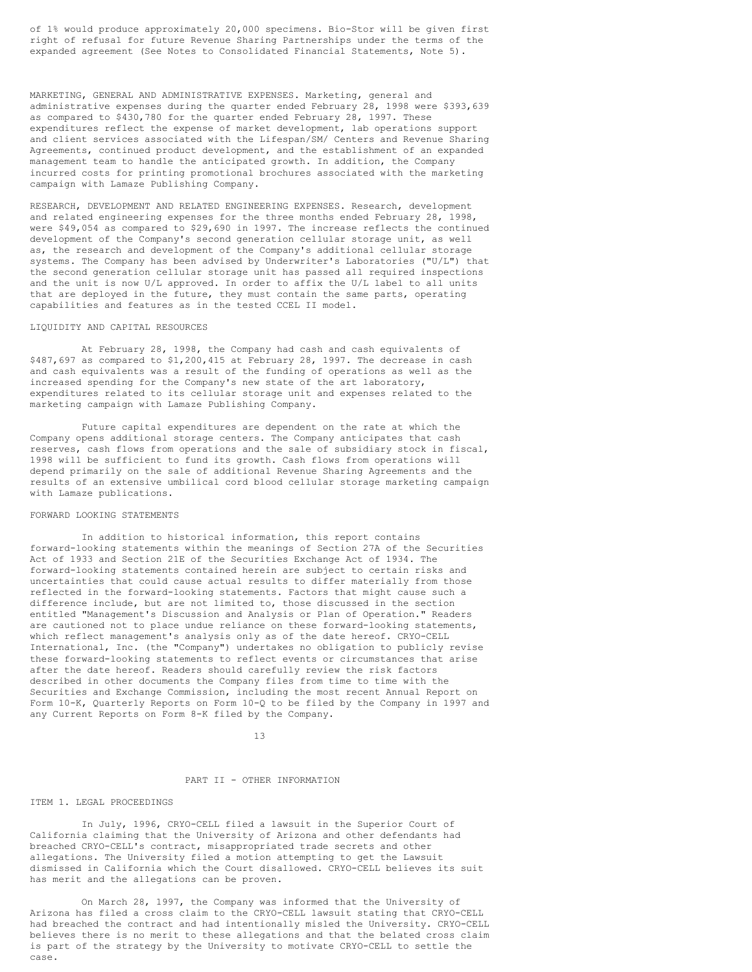of 1% would produce approximately 20,000 specimens. Bio-Stor will be given first right of refusal for future Revenue Sharing Partnerships under the terms of the expanded agreement (See Notes to Consolidated Financial Statements, Note 5).

MARKETING, GENERAL AND ADMINISTRATIVE EXPENSES. Marketing, general and administrative expenses during the quarter ended February 28, 1998 were \$393,639 as compared to \$430,780 for the quarter ended February 28, 1997. These expenditures reflect the expense of market development, lab operations support and client services associated with the Lifespan/SM/ Centers and Revenue Sharing Agreements, continued product development, and the establishment of an expanded management team to handle the anticipated growth. In addition, the Company incurred costs for printing promotional brochures associated with the marketing campaign with Lamaze Publishing Company.

RESEARCH, DEVELOPMENT AND RELATED ENGINEERING EXPENSES. Research, development and related engineering expenses for the three months ended February 28, 1998, were \$49,054 as compared to \$29,690 in 1997. The increase reflects the continued development of the Company's second generation cellular storage unit, as well as, the research and development of the Company's additional cellular storage systems. The Company has been advised by Underwriter's Laboratories ("U/L") that the second generation cellular storage unit has passed all required inspections and the unit is now U/L approved. In order to affix the U/L label to all units that are deployed in the future, they must contain the same parts, operating capabilities and features as in the tested CCEL II model.

#### LIQUIDITY AND CAPITAL RESOURCES

At February 28, 1998, the Company had cash and cash equivalents of \$487,697 as compared to \$1,200,415 at February 28, 1997. The decrease in cash and cash equivalents was a result of the funding of operations as well as the increased spending for the Company's new state of the art laboratory, expenditures related to its cellular storage unit and expenses related to the marketing campaign with Lamaze Publishing Company.

Future capital expenditures are dependent on the rate at which the Company opens additional storage centers. The Company anticipates that cash reserves, cash flows from operations and the sale of subsidiary stock in fiscal, 1998 will be sufficient to fund its growth. Cash flows from operations will depend primarily on the sale of additional Revenue Sharing Agreements and the results of an extensive umbilical cord blood cellular storage marketing campaign with Lamaze publications.

#### FORWARD LOOKING STATEMENTS

In addition to historical information, this report contains forward-looking statements within the meanings of Section 27A of the Securities Act of 1933 and Section 21E of the Securities Exchange Act of 1934. The forward-looking statements contained herein are subject to certain risks and uncertainties that could cause actual results to differ materially from those reflected in the forward-looking statements. Factors that might cause such a difference include, but are not limited to, those discussed in the section entitled "Management's Discussion and Analysis or Plan of Operation." Readers are cautioned not to place undue reliance on these forward-looking statements, which reflect management's analysis only as of the date hereof. CRYO-CELL International, Inc. (the "Company") undertakes no obligation to publicly revise these forward-looking statements to reflect events or circumstances that arise after the date hereof. Readers should carefully review the risk factors described in other documents the Company files from time to time with the Securities and Exchange Commission, including the most recent Annual Report on Form 10-K, Quarterly Reports on Form 10-Q to be filed by the Company in 1997 and any Current Reports on Form 8-K filed by the Company.

13

#### PART II - OTHER INFORMATION

#### ITEM 1. LEGAL PROCEEDINGS

In July, 1996, CRYO-CELL filed a lawsuit in the Superior Court of California claiming that the University of Arizona and other defendants had breached CRYO-CELL's contract, misappropriated trade secrets and other allegations. The University filed a motion attempting to get the Lawsuit dismissed in California which the Court disallowed. CRYO-CELL believes its suit has merit and the allegations can be proven.

On March 28, 1997, the Company was informed that the University of Arizona has filed a cross claim to the CRYO-CELL lawsuit stating that CRYO-CELL had breached the contract and had intentionally misled the University. CRYO-CELL believes there is no merit to these allegations and that the belated cross claim is part of the strategy by the University to motivate CRYO-CELL to settle the case.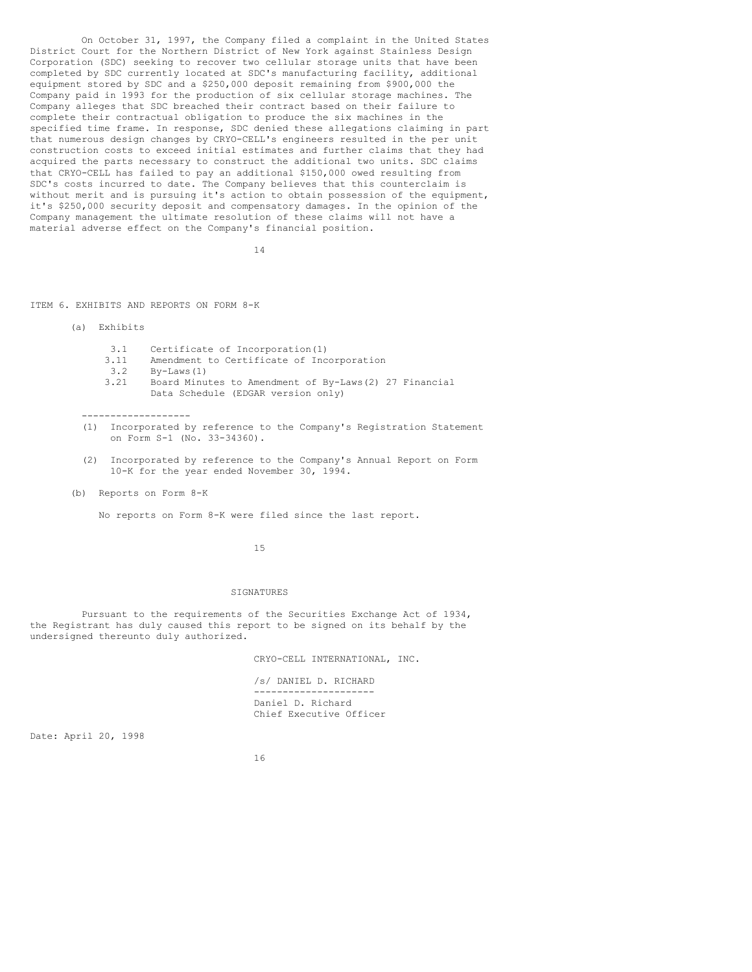On October 31, 1997, the Company filed a complaint in the United States District Court for the Northern District of New York against Stainless Design Corporation (SDC) seeking to recover two cellular storage units that have been completed by SDC currently located at SDC's manufacturing facility, additional equipment stored by SDC and a \$250,000 deposit remaining from \$900,000 the Company paid in 1993 for the production of six cellular storage machines. The Company alleges that SDC breached their contract based on their failure to complete their contractual obligation to produce the six machines in the specified time frame. In response, SDC denied these allegations claiming in part that numerous design changes by CRYO-CELL's engineers resulted in the per unit construction costs to exceed initial estimates and further claims that they had acquired the parts necessary to construct the additional two units. SDC claims that CRYO-CELL has failed to pay an additional \$150,000 owed resulting from SDC's costs incurred to date. The Company believes that this counterclaim is without merit and is pursuing it's action to obtain possession of the equipment, it's \$250,000 security deposit and compensatory damages. In the opinion of the Company management the ultimate resolution of these claims will not have a material adverse effect on the Company's financial position.

14

ITEM 6. EXHIBITS AND REPORTS ON FORM 8-K

(a) Exhibits

- 
- 3.1 Certificate of Incorporation(1)<br>3.11 Amendment to Certificate of Inc Amendment to Certificate of Incorporation
- 3.2 By-Laws(1)<br>3.21 Board Minu
- Board Minutes to Amendment of By-Laws(2) 27 Financial Data Schedule (EDGAR version only)

-------------------

- (1) Incorporated by reference to the Company's Registration Statement on Form S-1 (No. 33-34360).
- (2) Incorporated by reference to the Company's Annual Report on Form 10-K for the year ended November 30, 1994.
- (b) Reports on Form 8-K

No reports on Form 8-K were filed since the last report.

15

#### SIGNATURES

Pursuant to the requirements of the Securities Exchange Act of 1934, the Registrant has duly caused this report to be signed on its behalf by the undersigned thereunto duly authorized.

CRYO-CELL INTERNATIONAL, INC.

/s/ DANIEL D. RICHARD --------------------- Daniel D. Richard Chief Executive Officer

Date: April 20, 1998

16